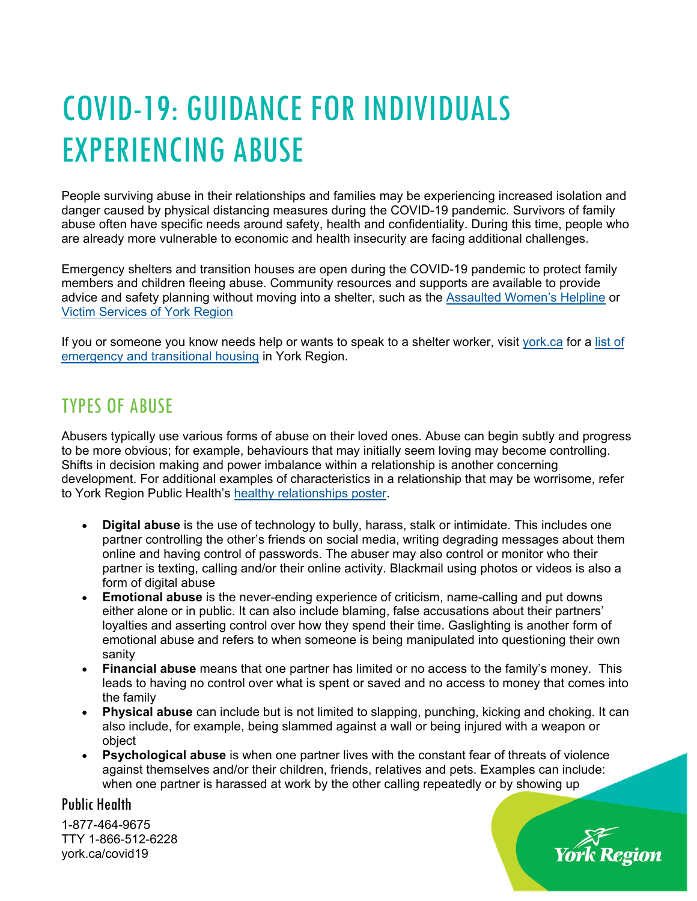# COVID-19: GUIDANCE FOR INDIVIDUALS EXPERIENCING ABUSE

People surviving abuse in their relationships and families may be experiencing increased isolation and danger caused by physical distancing measures during the COVID-19 pandemic. Survivors of family abuse often have specific needs around safety, health and confidentiality. During this time, people who are already more vulnerable to economic and health insecurity are facing additional challenges.

Emergency shelters and transition houses are open during the COVID-19 pandemic to protect family members and children fleeing abuse. Community resources and supports are available to provide advice and safety planning without moving into a shelter, such as the Assaulted Women's Helpline or Victim Services of York Region

If you or someone you know needs help or wants to speak to a shelter worker, visit york.ca for a list of emergency and transitional housing in York Region.

### TYPES OF ABUSE

Abusers typically use various forms of abuse on their loved ones. Abuse can begin subtly and progress to be more obvious; for example, behaviours that may initially seem loving may become controlling. Shifts in decision making and power imbalance within a relationship is another concerning development. For additional examples of characteristics in a relationship that may be worrisome, refer to York Region Public Health's healthy relationships poster.

- **Digital abuse** is the use of technology to bully, harass, stalk or intimidate. This includes one partner controlling the other's friends on social media, writing degrading messages about them online and having control of passwords. The abuser may also control or monitor who their partner is texting, calling and/or their online activity. Blackmail using photos or videos is also a form of digital abuse
- **Emotional abuse** is the never-ending experience of criticism, name-calling and put downs either alone or in public. It can also include blaming, false accusations about their partners' loyalties and asserting control over how they spend their time. Gaslighting is another form of emotional abuse and refers to when someone is being manipulated into questioning their own sanity
- **Financial abuse** means that one partner has limited or no access to the family's money. This leads to having no control over what is spent or saved and no access to money that comes into the family
- **Physical abuse** can include but is not limited to slapping, punching, kicking and choking. It can also include, for example, being slammed against a wall or being injured with a weapon or object

rk Region

 **Psychological abuse** is when one partner lives with the constant fear of threats of violence against themselves and/or their children, friends, relatives and pets. Examples can include: when one partner is harassed at work by the other calling repeatedly or by showing up

### Public Health

1-877-464-9675 TTY 1-866-512-6228 york.ca/covid19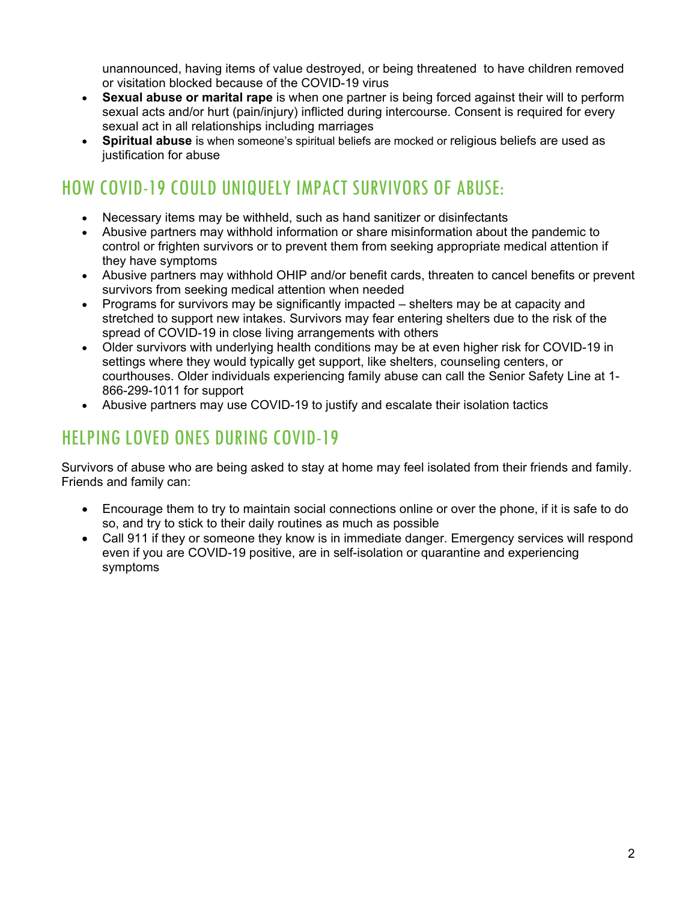unannounced, having items of value destroyed, or being threatened to have children removed or visitation blocked because of the COVID-19 virus

- **Sexual abuse or marital rape** is when one partner is being forced against their will to perform sexual acts and/or hurt (pain/injury) inflicted during intercourse. Consent is required for every sexual act in all relationships including marriages
- **Spiritual abuse** is when someone's spiritual beliefs are mocked or religious beliefs are used as justification for abuse

# HOW COVID-19 COULD UNIQUELY IMPACT SURVIVORS OF ABUSE:

- Necessary items may be withheld, such as hand sanitizer or disinfectants
- Abusive partners may withhold information or share misinformation about the pandemic to control or frighten survivors or to prevent them from seeking appropriate medical attention if they have symptoms
- Abusive partners may withhold OHIP and/or benefit cards, threaten to cancel benefits or prevent survivors from seeking medical attention when needed
- Programs for survivors may be significantly impacted shelters may be at capacity and stretched to support new intakes. Survivors may fear entering shelters due to the risk of the spread of COVID-19 in close living arrangements with others
- Older survivors with underlying health conditions may be at even higher risk for COVID-19 in settings where they would typically get support, like shelters, counseling centers, or courthouses. Older individuals experiencing family abuse can call the Senior Safety Line at 1- 866-299-1011 for support
- Abusive partners may use COVID-19 to justify and escalate their isolation tactics

# HELPING LOVED ONES DURING COVID-19

Survivors of abuse who are being asked to stay at home may feel isolated from their friends and family. Friends and family can:

- Encourage them to try to maintain social connections online or over the phone, if it is safe to do so, and try to stick to their daily routines as much as possible
- Call 911 if they or someone they know is in immediate danger. Emergency services will respond even if you are COVID-19 positive, are in self-isolation or quarantine and experiencing symptoms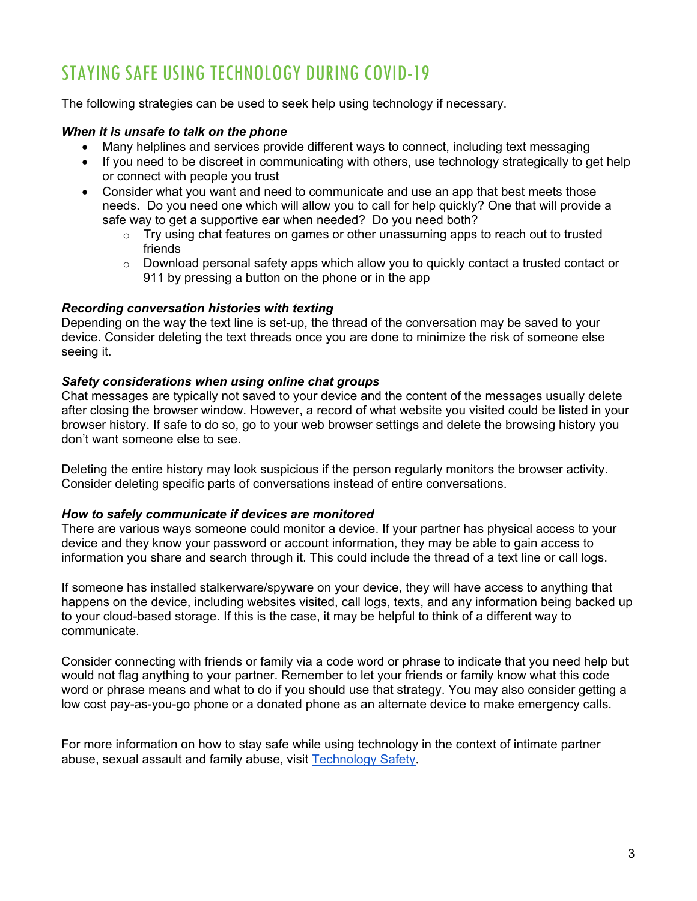### STAYING SAFE USING TECHNOLOGY DURING COVID-19

The following strategies can be used to seek help using technology if necessary.

### *When it is unsafe to talk on the phone*

- Many helplines and services provide different ways to connect, including text messaging
- If you need to be discreet in communicating with others, use technology strategically to get help or connect with people you trust
- Consider what you want and need to communicate and use an app that best meets those needs. Do you need one which will allow you to call for help quickly? One that will provide a safe way to get a supportive ear when needed? Do you need both?
	- $\circ$  Try using chat features on games or other unassuming apps to reach out to trusted friends
	- $\circ$  Download personal safety apps which allow you to quickly contact a trusted contact or 911 by pressing a button on the phone or in the app

### *Recording conversation histories with texting*

Depending on the way the text line is set-up, the thread of the conversation may be saved to your device. Consider deleting the text threads once you are done to minimize the risk of someone else seeing it.

### *Safety considerations when using online chat groups*

Chat messages are typically not saved to your device and the content of the messages usually delete after closing the browser window. However, a record of what website you visited could be listed in your browser history. If safe to do so, go to your web browser settings and delete the browsing history you don't want someone else to see.

Deleting the entire history may look suspicious if the person regularly monitors the browser activity. Consider deleting specific parts of conversations instead of entire conversations.

### *How to safely communicate if devices are monitored*

There are various ways someone could monitor a device. If your partner has physical access to your device and they know your password or account information, they may be able to gain access to information you share and search through it. This could include the thread of a text line or call logs.

If someone has installed stalkerware/spyware on your device, they will have access to anything that happens on the device, including websites visited, call logs, texts, and any information being backed up to your cloud-based storage. If this is the case, it may be helpful to think of a different way to communicate.

Consider connecting with friends or family via a code word or phrase to indicate that you need help but would not flag anything to your partner. Remember to let your friends or family know what this code word or phrase means and what to do if you should use that strategy. You may also consider getting a low cost pay-as-you-go phone or a donated phone as an alternate device to make emergency calls.

For more information on how to stay safe while using technology in the context of intimate partner abuse, sexual assault and family abuse, visit Technology Safety.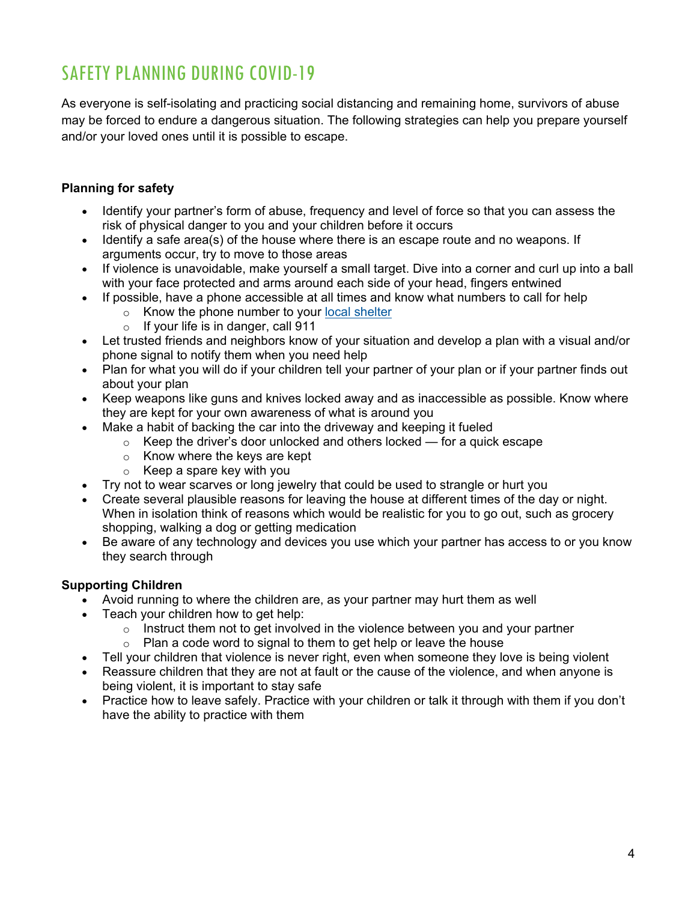# SAFETY PLANNING DURING COVID-19

As everyone is self-isolating and practicing social distancing and remaining home, survivors of abuse may be forced to endure a dangerous situation. The following strategies can help you prepare yourself and/or your loved ones until it is possible to escape.

### **Planning for safety**

- Identify your partner's form of abuse, frequency and level of force so that you can assess the risk of physical danger to you and your children before it occurs
- Identify a safe area(s) of the house where there is an escape route and no weapons. If arguments occur, try to move to those areas
- If violence is unavoidable, make yourself a small target. Dive into a corner and curl up into a ball with your face protected and arms around each side of your head, fingers entwined
- If possible, have a phone accessible at all times and know what numbers to call for help
	- $\circ$  Know the phone number to your local shelter
	- $\circ$  If your life is in danger, call 911
- Let trusted friends and neighbors know of your situation and develop a plan with a visual and/or phone signal to notify them when you need help
- Plan for what you will do if your children tell your partner of your plan or if your partner finds out about your plan
- Keep weapons like guns and knives locked away and as inaccessible as possible. Know where they are kept for your own awareness of what is around you
	- Make a habit of backing the car into the driveway and keeping it fueled
		- $\circ$  Keep the driver's door unlocked and others locked for a quick escape
		- $\circ$  Know where the keys are kept
		- $\circ$  Keep a spare key with you
- Try not to wear scarves or long jewelry that could be used to strangle or hurt you
- Create several plausible reasons for leaving the house at different times of the day or night. When in isolation think of reasons which would be realistic for you to go out, such as grocery shopping, walking a dog or getting medication
- Be aware of any technology and devices you use which your partner has access to or you know they search through

### **Supporting Children**

- Avoid running to where the children are, as your partner may hurt them as well
- Teach your children how to get help:
	- $\circ$  Instruct them not to get involved in the violence between you and your partner
	- $\circ$  Plan a code word to signal to them to get help or leave the house
- Tell your children that violence is never right, even when someone they love is being violent
- Reassure children that they are not at fault or the cause of the violence, and when anyone is being violent, it is important to stay safe
- Practice how to leave safely. Practice with your children or talk it through with them if you don't have the ability to practice with them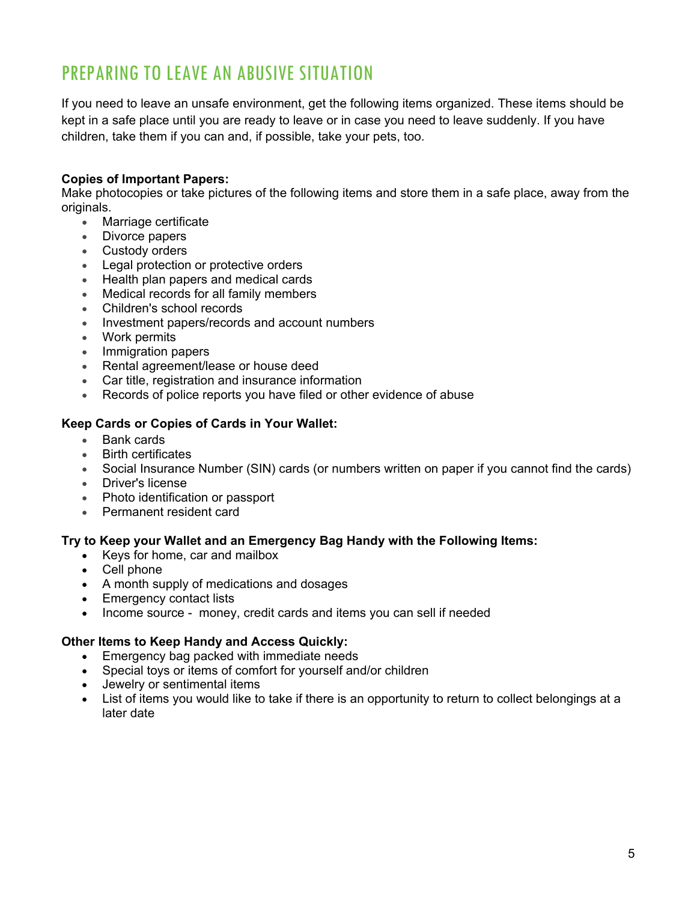# PREPARING TO LEAVE AN ABUSIVE SITUATION

If you need to leave an unsafe environment, get the following items organized. These items should be kept in a safe place until you are ready to leave or in case you need to leave suddenly. If you have children, take them if you can and, if possible, take your pets, too.

### **Copies of Important Papers:**

Make photocopies or take pictures of the following items and store them in a safe place, away from the originals.

- Marriage certificate
- Divorce papers
- Custody orders
- **Legal protection or protective orders**
- Health plan papers and medical cards
- Medical records for all family members
- Children's school records
- Investment papers/records and account numbers
- Work permits
- Immigration papers
- Rental agreement/lease or house deed
- Car title, registration and insurance information
- Records of police reports you have filed or other evidence of abuse

### **Keep Cards or Copies of Cards in Your Wallet:**

- Bank cards
- Birth certificates
- Social Insurance Number (SIN) cards (or numbers written on paper if you cannot find the cards)
- Driver's license
- Photo identification or passport
- Permanent resident card

### **Try to Keep your Wallet and an Emergency Bag Handy with the Following Items:**

- Keys for home, car and mailbox
- Cell phone
- A month supply of medications and dosages
- Emergency contact lists
- Income source money, credit cards and items you can sell if needed

#### **Other Items to Keep Handy and Access Quickly:**

- Emergency bag packed with immediate needs
- Special toys or items of comfort for yourself and/or children
- Jewelry or sentimental items
- List of items you would like to take if there is an opportunity to return to collect belongings at a later date